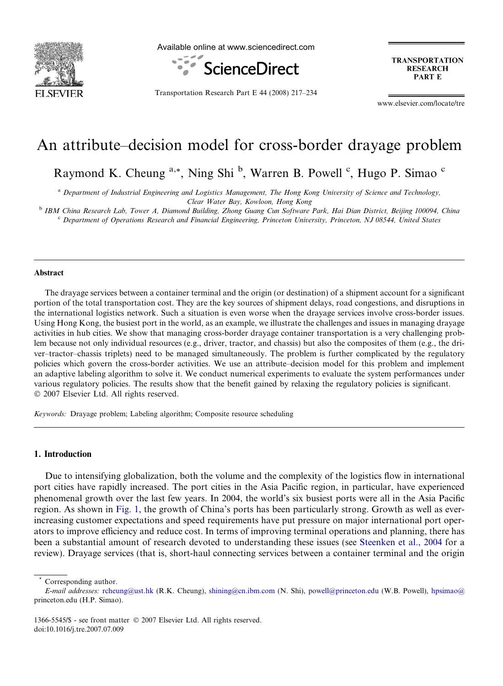

Available online at www.sciencedirect.com



**TRANSPORTATION RESEARCH PART E** 

Transportation Research Part E 44 (2008) 217–234

www.elsevier.com/locate/tre

# An attribute–decision model for cross-border drayage problem

Raymond K. Cheung <sup>a,\*</sup>, Ning Shi<sup>b</sup>, Warren B. Powell <sup>c</sup>, Hugo P. Simao <sup>c</sup>

<sup>a</sup> Department of Industrial Engineering and Logistics Management, The Hong Kong University of Science and Technology, Clear Water Bay, Kowloon, Hong Kong

<sup>b</sup> IBM China Research Lab, Tower A, Diamond Building, Zhong Guang Cun Software Park, Hai Dian District, Beijing 100094, China

 $c$  Department of Operations Research and Financial Engineering, Princeton University, Princeton, NJ 08544, United States

# Abstract

The drayage services between a container terminal and the origin (or destination) of a shipment account for a significant portion of the total transportation cost. They are the key sources of shipment delays, road congestions, and disruptions in the international logistics network. Such a situation is even worse when the drayage services involve cross-border issues. Using Hong Kong, the busiest port in the world, as an example, we illustrate the challenges and issues in managing drayage activities in hub cities. We show that managing cross-border drayage container transportation is a very challenging problem because not only individual resources (e.g., driver, tractor, and chassis) but also the composites of them (e.g., the driver–tractor–chassis triplets) need to be managed simultaneously. The problem is further complicated by the regulatory policies which govern the cross-border activities. We use an attribute–decision model for this problem and implement an adaptive labeling algorithm to solve it. We conduct numerical experiments to evaluate the system performances under various regulatory policies. The results show that the benefit gained by relaxing the regulatory policies is significant.  $© 2007 Elsevier Ltd. All rights reserved.$ 

Keywords: Drayage problem; Labeling algorithm; Composite resource scheduling

# 1. Introduction

Due to intensifying globalization, both the volume and the complexity of the logistics flow in international port cities have rapidly increased. The port cities in the Asia Pacific region, in particular, have experienced phenomenal growth over the last few years. In 2004, the world's six busiest ports were all in the Asia Pacific region. As shown in [Fig. 1](#page-1-0), the growth of China's ports has been particularly strong. Growth as well as everincreasing customer expectations and speed requirements have put pressure on major international port operators to improve efficiency and reduce cost. In terms of improving terminal operations and planning, there has been a substantial amount of research devoted to understanding these issues (see [Steenken et al., 2004](#page-17-0) for a review). Drayage services (that is, short-haul connecting services between a container terminal and the origin

Corresponding author.

E-mail addresses: [rcheung@ust.hk](mailto:rcheung@ust.hk) (R.K. Cheung), [shining@cn.ibm.com](mailto:shining@cn.ibm.com ) (N. Shi), [powell@princeton.edu](mailto:powell@princeton.edu ) (W.B. Powell), [hpsimao@](mailto:hpsimao@ ) princeton.edu (H.P. Simao).

<sup>1366-5545/\$ -</sup> see front matter © 2007 Elsevier Ltd. All rights reserved. doi:10.1016/j.tre.2007.07.009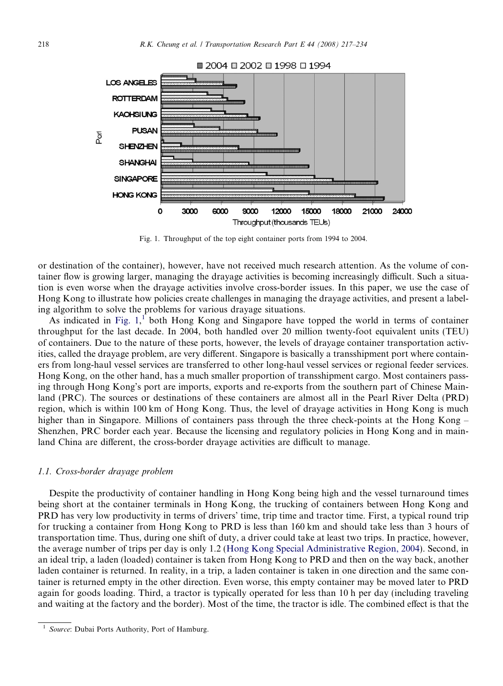<span id="page-1-0"></span>

Fig. 1. Throughput of the top eight container ports from 1994 to 2004.

or destination of the container), however, have not received much research attention. As the volume of container flow is growing larger, managing the drayage activities is becoming increasingly difficult. Such a situation is even worse when the drayage activities involve cross-border issues. In this paper, we use the case of Hong Kong to illustrate how policies create challenges in managing the drayage activities, and present a labeling algorithm to solve the problems for various drayage situations.

As indicated in Fig.  $1$ ,  $1$  both Hong Kong and Singapore have topped the world in terms of container throughput for the last decade. In 2004, both handled over 20 million twenty-foot equivalent units (TEU) of containers. Due to the nature of these ports, however, the levels of drayage container transportation activities, called the drayage problem, are very different. Singapore is basically a transshipment port where containers from long-haul vessel services are transferred to other long-haul vessel services or regional feeder services. Hong Kong, on the other hand, has a much smaller proportion of transshipment cargo. Most containers passing through Hong Kong's port are imports, exports and re-exports from the southern part of Chinese Mainland (PRC). The sources or destinations of these containers are almost all in the Pearl River Delta (PRD) region, which is within 100 km of Hong Kong. Thus, the level of drayage activities in Hong Kong is much higher than in Singapore. Millions of containers pass through the three check-points at the Hong Kong – Shenzhen, PRC border each year. Because the licensing and regulatory policies in Hong Kong and in mainland China are different, the cross-border drayage activities are difficult to manage.

#### 1.1. Cross-border drayage problem

Despite the productivity of container handling in Hong Kong being high and the vessel turnaround times being short at the container terminals in Hong Kong, the trucking of containers between Hong Kong and PRD has very low productivity in terms of drivers' time, trip time and tractor time. First, a typical round trip for trucking a container from Hong Kong to PRD is less than 160 km and should take less than 3 hours of transportation time. Thus, during one shift of duty, a driver could take at least two trips. In practice, however, the average number of trips per day is only 1.2 [\(Hong Kong Special Administrative Region, 2004](#page-17-0)). Second, in an ideal trip, a laden (loaded) container is taken from Hong Kong to PRD and then on the way back, another laden container is returned. In reality, in a trip, a laden container is taken in one direction and the same container is returned empty in the other direction. Even worse, this empty container may be moved later to PRD again for goods loading. Third, a tractor is typically operated for less than 10 h per day (including traveling and waiting at the factory and the border). Most of the time, the tractor is idle. The combined effect is that the

Source: Dubai Ports Authority, Port of Hamburg.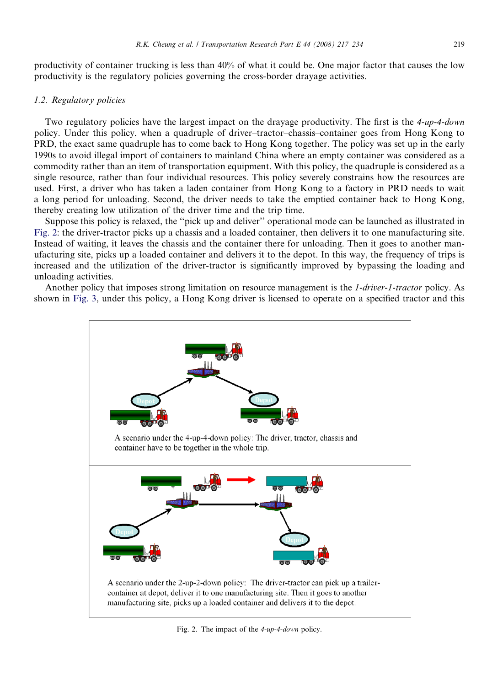productivity of container trucking is less than 40% of what it could be. One major factor that causes the low productivity is the regulatory policies governing the cross-border drayage activities.

# 1.2. Regulatory policies

Two regulatory policies have the largest impact on the drayage productivity. The first is the 4-up-4-down policy. Under this policy, when a quadruple of driver–tractor–chassis–container goes from Hong Kong to PRD, the exact same quadruple has to come back to Hong Kong together. The policy was set up in the early 1990s to avoid illegal import of containers to mainland China where an empty container was considered as a commodity rather than an item of transportation equipment. With this policy, the quadruple is considered as a single resource, rather than four individual resources. This policy severely constrains how the resources are used. First, a driver who has taken a laden container from Hong Kong to a factory in PRD needs to wait a long period for unloading. Second, the driver needs to take the emptied container back to Hong Kong, thereby creating low utilization of the driver time and the trip time.

Suppose this policy is relaxed, the ''pick up and deliver'' operational mode can be launched as illustrated in Fig. 2: the driver-tractor picks up a chassis and a loaded container, then delivers it to one manufacturing site. Instead of waiting, it leaves the chassis and the container there for unloading. Then it goes to another manufacturing site, picks up a loaded container and delivers it to the depot. In this way, the frequency of trips is increased and the utilization of the driver-tractor is significantly improved by bypassing the loading and unloading activities.

Another policy that imposes strong limitation on resource management is the 1-driver-1-tractor policy. As shown in [Fig. 3](#page-3-0), under this policy, a Hong Kong driver is licensed to operate on a specified tractor and this



Fig. 2. The impact of the 4-up-4-down policy.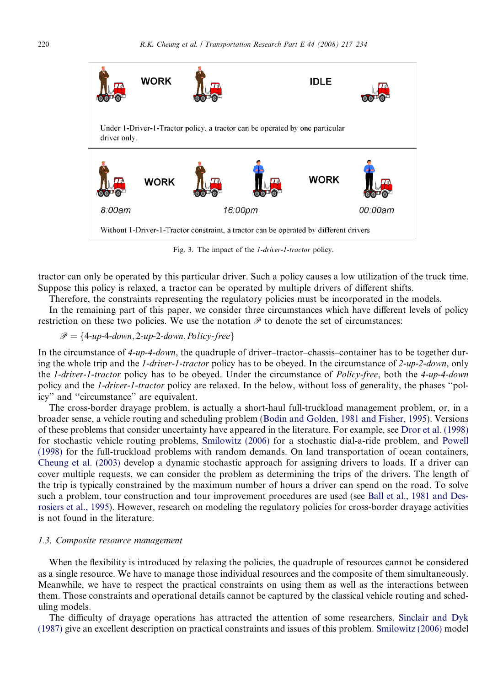<span id="page-3-0"></span>

Fig. 3. The impact of the 1-driver-1-tractor policy.

tractor can only be operated by this particular driver. Such a policy causes a low utilization of the truck time. Suppose this policy is relaxed, a tractor can be operated by multiple drivers of different shifts.

Therefore, the constraints representing the regulatory policies must be incorporated in the models. In the remaining part of this paper, we consider three circumstances which have different levels of policy

restriction on these two policies. We use the notation  $\mathscr P$  to denote the set of circumstances:

 $\mathscr{P} = \{4\text{-}up\text{-}4\text{-}down, 2\text{-}up\text{-}2\text{-}down, Policy\text{-}free\}$ 

In the circumstance of 4-up-4-down, the quadruple of driver–tractor–chassis–container has to be together during the whole trip and the 1-driver-1-tractor policy has to be obeyed. In the circumstance of 2-up-2-down, only the 1-driver-1-tractor policy has to be obeyed. Under the circumstance of Policy-free, both the 4-up-4-down policy and the 1-driver-1-tractor policy are relaxed. In the below, without loss of generality, the phases ''policy'' and ''circumstance'' are equivalent.

The cross-border drayage problem, is actually a short-haul full-truckload management problem, or, in a broader sense, a vehicle routing and scheduling problem ([Bodin and Golden, 1981 and Fisher, 1995](#page-16-0)). Versions of these problems that consider uncertainty have appeared in the literature. For example, see [Dror et al. \(1998\)](#page-16-0) for stochastic vehicle routing problems, [Smilowitz \(2006\)](#page-17-0) for a stochastic dial-a-ride problem, and [Powell](#page-17-0) [\(1998\)](#page-17-0) for the full-truckload problems with random demands. On land transportation of ocean containers, [Cheung et al. \(2003\)](#page-16-0) develop a dynamic stochastic approach for assigning drivers to loads. If a driver can cover multiple requests, we can consider the problem as determining the trips of the drivers. The length of the trip is typically constrained by the maximum number of hours a driver can spend on the road. To solve such a problem, tour construction and tour improvement procedures are used (see [Ball et al., 1981 and Des](#page-16-0)[rosiers et al., 1995](#page-16-0)). However, research on modeling the regulatory policies for cross-border drayage activities is not found in the literature.

#### 1.3. Composite resource management

When the flexibility is introduced by relaxing the policies, the quadruple of resources cannot be considered as a single resource. We have to manage those individual resources and the composite of them simultaneously. Meanwhile, we have to respect the practical constraints on using them as well as the interactions between them. Those constraints and operational details cannot be captured by the classical vehicle routing and scheduling models.

The difficulty of drayage operations has attracted the attention of some researchers. [Sinclair and Dyk](#page-17-0) [\(1987\)](#page-17-0) give an excellent description on practical constraints and issues of this problem. [Smilowitz \(2006\)](#page-17-0) model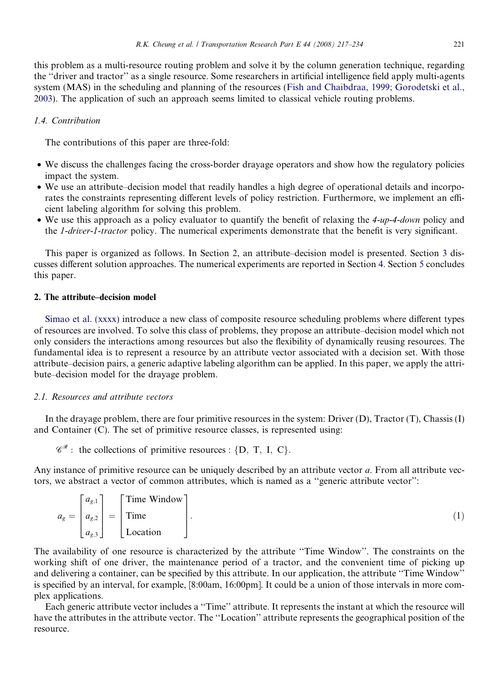this problem as a multi-resource routing problem and solve it by the column generation technique, regarding the ''driver and tractor'' as a single resource. Some researchers in artificial intelligence field apply multi-agents system (MAS) in the scheduling and planning of the resources [\(Fish and Chaibdraa, 1999; Gorodetski et al.,](#page-16-0) [2003\)](#page-16-0). The application of such an approach seems limited to classical vehicle routing problems.

### 1.4. Contribution

The contributions of this paper are three-fold:

- We discuss the challenges facing the cross-border drayage operators and show how the regulatory policies impact the system.
- We use an attribute–decision model that readily handles a high degree of operational details and incorporates the constraints representing different levels of policy restriction. Furthermore, we implement an efficient labeling algorithm for solving this problem.
- We use this approach as a policy evaluator to quantify the benefit of relaxing the 4-up-4-down policy and the 1-driver-1-tractor policy. The numerical experiments demonstrate that the benefit is very significant.

This paper is organized as follows. In Section 2, an attribute–decision model is presented. Section [3](#page-8-0) discusses different solution approaches. The numerical experiments are reported in Section [4.](#page-12-0) Section [5](#page-16-0) concludes this paper.

# 2. The attribute–decision model

[Simao et al. \(xxxx\)](#page-17-0) introduce a new class of composite resource scheduling problems where different types of resources are involved. To solve this class of problems, they propose an attribute–decision model which not only considers the interactions among resources but also the flexibility of dynamically reusing resources. The fundamental idea is to represent a resource by an attribute vector associated with a decision set. With those attribute–decision pairs, a generic adaptive labeling algorithm can be applied. In this paper, we apply the attribute–decision model for the drayage problem.

#### 2.1. Resources and attribute vectors

In the drayage problem, there are four primitive resources in the system: Driver (D), Tractor (T), Chassis (I) and Container (C). The set of primitive resource classes, is represented using:

 $\mathscr{C}^{\mathscr{R}}$ : the collections of primitive resources : {D, T, I, C}.

Any instance of primitive resource can be uniquely described by an attribute vector a. From all attribute vectors, we abstract a vector of common attributes, which is named as a ''generic attribute vector'':

|  | $a_g = \begin{bmatrix} a_{g,1} \\ a_{g,2} \end{bmatrix} = \begin{bmatrix} \text{Time Window} \\ \text{Time} \end{bmatrix}$ |  |
|--|----------------------------------------------------------------------------------------------------------------------------|--|
|  | $\begin{bmatrix} a_{g,3} \end{bmatrix}$ $\begin{bmatrix} a_{g,3} \end{bmatrix}$ Location                                   |  |

The availability of one resource is characterized by the attribute ''Time Window''. The constraints on the working shift of one driver, the maintenance period of a tractor, and the convenient time of picking up and delivering a container, can be specified by this attribute. In our application, the attribute ''Time Window'' is specified by an interval, for example, [8:00am, 16:00pm]. It could be a union of those intervals in more complex applications.

Each generic attribute vector includes a ''Time'' attribute. It represents the instant at which the resource will have the attributes in the attribute vector. The ''Location'' attribute represents the geographical position of the resource.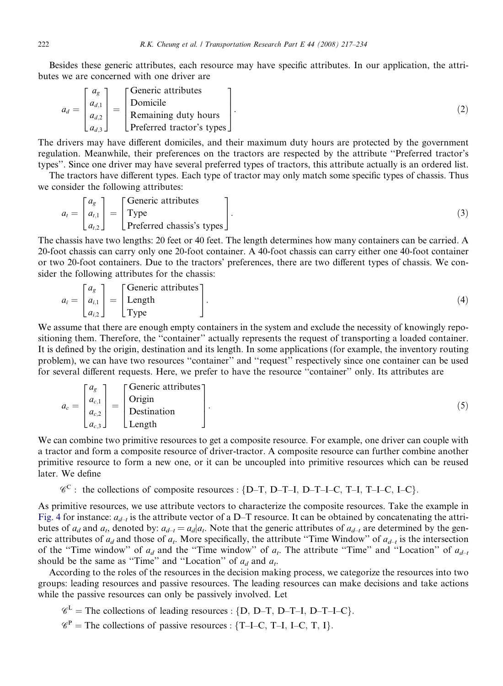Besides these generic attributes, each resource may have specific attributes. In our application, the attributes we are concerned with one driver are

$$
a_d = \begin{bmatrix} a_g \\ a_{d,1} \\ a_{d,2} \\ a_{d,3} \end{bmatrix} = \begin{bmatrix} \text{Generic attributes} \\ \text{Domicile} \\ \text{Remaining duty hours} \\ \text{Preferred tractor's types} \end{bmatrix} . \tag{2}
$$

The drivers may have different domiciles, and their maximum duty hours are protected by the government regulation. Meanwhile, their preferences on the tractors are respected by the attribute ''Preferred tractor's types''. Since one driver may have several preferred types of tractors, this attribute actually is an ordered list.

The tractors have different types. Each type of tractor may only match some specific types of chassis. Thus we consider the following attributes:

$$
a_{t} = \begin{bmatrix} a_{g} \\ a_{t,1} \\ a_{t,2} \end{bmatrix} = \begin{bmatrix} \text{Generic attributes} \\ \text{Type} \\ \text{Preferred chassis's types} \end{bmatrix} . \tag{3}
$$

The chassis have two lengths: 20 feet or 40 feet. The length determines how many containers can be carried. A 20-foot chassis can carry only one 20-foot container. A 40-foot chassis can carry either one 40-foot container or two 20-foot containers. Due to the tractors' preferences, there are two different types of chassis. We consider the following attributes for the chassis:

$$
a_i = \begin{bmatrix} a_g \\ a_{i,1} \\ a_{i,2} \end{bmatrix} = \begin{bmatrix} \text{Generic attributes} \\ \text{Length} \\ \text{Type} \end{bmatrix} . \tag{4}
$$

We assume that there are enough empty containers in the system and exclude the necessity of knowingly repositioning them. Therefore, the ''container'' actually represents the request of transporting a loaded container. It is defined by the origin, destination and its length. In some applications (for example, the inventory routing problem), we can have two resources ''container'' and ''request'' respectively since one container can be used for several different requests. Here, we prefer to have the resource ''container'' only. Its attributes are

$$
a_c = \begin{bmatrix} a_g \\ a_{c,1} \\ a_{c,2} \\ a_{c,3} \end{bmatrix} = \begin{bmatrix} \text{Generic attributes} \\ \text{Original} \\ \text{Destination} \\ \text{Length} \end{bmatrix} . \tag{5}
$$

We can combine two primitive resources to get a composite resource. For example, one driver can couple with a tractor and form a composite resource of driver-tractor. A composite resource can further combine another primitive resource to form a new one, or it can be uncoupled into primitive resources which can be reused later. We define

 $\mathscr{C}^C$ : the collections of composite resources : {D-T, D-T-I, D-T-I-C, T-I, T-I-C, I-C}.

As primitive resources, we use attribute vectors to characterize the composite resources. Take the example in [Fig. 4](#page-6-0) for instance:  $a_{d-t}$  is the attribute vector of a D–T resource. It can be obtained by concatenating the attributes of  $a_d$  and  $a_t$ , denoted by:  $a_{d-t} = a_d | a_t$ . Note that the generic attributes of  $a_{d-t}$  are determined by the generic attributes of  $a_d$  and those of  $a_t$ . More specifically, the attribute "Time Window" of  $a_{d-t}$  is the intersection of the "Time window" of  $a_d$  and the "Time window" of  $a_t$ . The attribute "Time" and "Location" of  $a_{d-t}$ should be the same as "Time" and "Location" of  $a_d$  and  $a_t$ .

According to the roles of the resources in the decision making process, we categorize the resources into two groups: leading resources and passive resources. The leading resources can make decisions and take actions while the passive resources can only be passively involved. Let

 $\mathscr{C}^{\mathbb{L}}$  = The collections of leading resources : {D, D–T, D–T–I, D–T–I–C}.

 $\mathscr{C}^P$  = The collections of passive resources : {T-I-C, T-I, I-C, T, I}.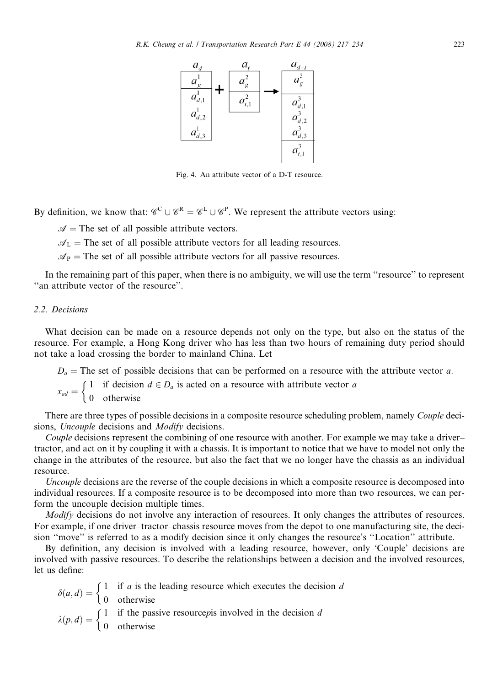<span id="page-6-0"></span>

Fig. 4. An attribute vector of a D-T resource.

By definition, we know that:  $\mathscr{C}^C \cup \mathscr{C}^R = \mathscr{C}^L \cup \mathscr{C}^P$ . We represent the attribute vectors using:

 $\mathcal{A}$  = The set of all possible attribute vectors.

 $\mathcal{A}_L$  = The set of all possible attribute vectors for all leading resources.

 $\mathcal{A}_P$  = The set of all possible attribute vectors for all passive resources.

In the remaining part of this paper, when there is no ambiguity, we will use the term ''resource'' to represent ''an attribute vector of the resource''.

# 2.2. Decisions

What decision can be made on a resource depends not only on the type, but also on the status of the resource. For example, a Hong Kong driver who has less than two hours of remaining duty period should not take a load crossing the border to mainland China. Let

 $D_a$  = The set of possible decisions that can be performed on a resource with the attribute vector a.

 $x_{ad} = \begin{cases} 1 & \text{if decision } d \in D_a \text{ is acted on a resource with attribute vector } a \\ 0 & \text{otherwise} \end{cases}$ 

There are three types of possible decisions in a composite resource scheduling problem, namely *Couple* decisions, Uncouple decisions and Modify decisions.

Couple decisions represent the combining of one resource with another. For example we may take a driver– tractor, and act on it by coupling it with a chassis. It is important to notice that we have to model not only the change in the attributes of the resource, but also the fact that we no longer have the chassis as an individual resource.

Uncouple decisions are the reverse of the couple decisions in which a composite resource is decomposed into individual resources. If a composite resource is to be decomposed into more than two resources, we can perform the uncouple decision multiple times.

Modify decisions do not involve any interaction of resources. It only changes the attributes of resources. For example, if one driver–tractor–chassis resource moves from the depot to one manufacturing site, the decision "move" is referred to as a modify decision since it only changes the resource's "Location" attribute.

By definition, any decision is involved with a leading resource, however, only 'Couple' decisions are involved with passive resources. To describe the relationships between a decision and the involved resources, let us define:

 $\delta(a, d) = \begin{cases} 1 & \text{if } a \text{ is the leading resource which executes the decision } d \\ 0 & \text{otherwise} \end{cases}$  $\lambda(p, d) = \begin{cases} 1 & \text{if the passive resource} \ 0 & \text{otherwise} \end{cases}$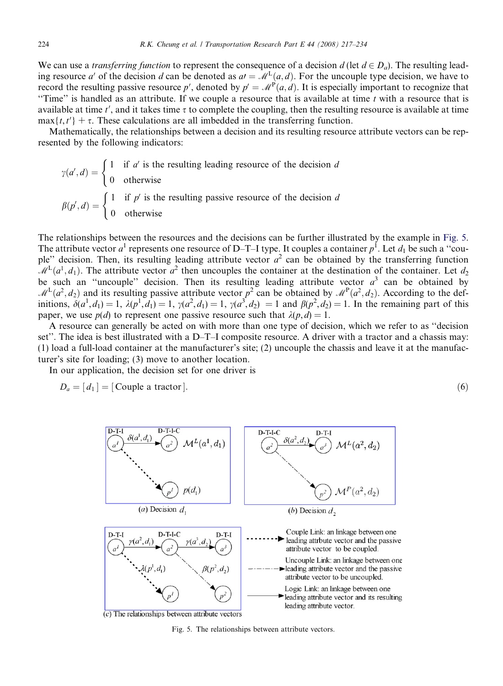We can use a *transferring function* to represent the consequence of a decision d (let  $d \in D_a$ ). The resulting leading resource a' of the decision d can be denoted as  $a = M<sup>L</sup>(a,d)$ . For the uncouple type decision, we have to record the resulting passive resource p', denoted by  $p' = M^P(a, d)$ . It is especially important to recognize that "Time" is handled as an attribute. If we couple a resource that is available at time  $t$  with a resource that is available at time  $t'$ , and it takes time  $\tau$  to complete the coupling, then the resulting resource is available at time  $max{t, t'}$  +  $\tau$ . These calculations are all imbedded in the transferring function.

Mathematically, the relationships between a decision and its resulting resource attribute vectors can be represented by the following indicators:

$$
\gamma(a', d) = \begin{cases} 1 & \text{if } a' \text{ is the resulting leading resource of the decision } d \\ 0 & \text{otherwise} \end{cases}
$$

$$
\beta(p', d) = \begin{cases} 1 & \text{if } p' \text{ is the resulting passive resource of the decision } d \\ 0 & \text{otherwise} \end{cases}
$$

The relationships between the resources and the decisions can be further illustrated by the example in Fig. 5. The attribute vector  $a^1$  represents one resource of D–T–I type. It couples a container  $p^1$ . Let  $d_1$  be such a "couple" decision. Then, its resulting leading attribute vector  $a^2$  can be obtained by the transferring function  $\mathcal{M}^L(a^1, d_1)$ . The attribute vector  $a^2$  then uncouples the container at the destination of the container. Let  $d_2$ be such an "uncouple" decision. Then its resulting leading attribute vector  $a<sup>3</sup>$  can be obtained by  $M^L(a^2, d_2)$  and its resulting passive attribute vector  $p^2$  can be obtained by  $M^P(a^2, d_2)$ . According to the definitions,  $\delta(a^1, d_1) = 1$ ,  $\lambda(p^1, d_1) = 1$ ,  $\gamma(a^2, d_1) = 1$ ,  $\gamma(a^3, d_2) = 1$  and  $\beta(p^2, d_2) = 1$ . In the remaining part of this paper, we use  $p(d)$  to represent one passive resource such that  $\lambda(p,d) = 1$ .

A resource can generally be acted on with more than one type of decision, which we refer to as ''decision set". The idea is best illustrated with a D–T–I composite resource. A driver with a tractor and a chassis may: (1) load a full-load container at the manufacturer's site; (2) uncouple the chassis and leave it at the manufacturer's site for loading; (3) move to another location.

In our application, the decision set for one driver is

$$
D_a = [d_1] = [\text{Couple a tractor}]. \tag{6}
$$

| D-T-I                                           | D-T-I-C            | D-T-I-C            | D-T-I-C            |             |
|-------------------------------------------------|--------------------|--------------------|--------------------|-------------|
| (a')                                            | $\delta(a^1, d_1)$ | $\delta(a^2, d_2)$ | $\delta(a^3, d_3)$ | $\Delta(b)$ |
| (a) Decision $d_1$                              | (b) Decision $d_2$ |                    |                    |             |
| (b) Decision $d_2$                              | $\Delta(b)$        | $\Delta(c)$        |                    |             |
| (c) The relationships between attribute vectors | $\delta(a^2, d_2)$ | $\delta(a^3)$      | $\Delta(b)$        |             |
| (a) Decision $d_1$                              | (b) Decision $d_2$ |                    |                    |             |
| (b) Decision $d_2$                              | $\Delta(c)$        | $\Delta(d)$        | $\Delta(d)$        |             |
| (c) The relationships between attribute vectors | $\Delta(d)$        | $\Delta(d)$        | $\Delta(d)$        |             |

Fig. 5. The relationships between attribute vectors.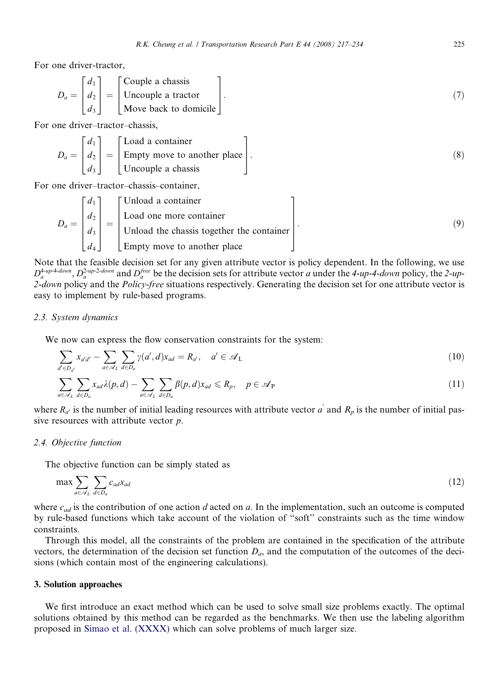<span id="page-8-0"></span>For one driver-tractor,

$$
D_a = \begin{bmatrix} d_1 \\ d_2 \\ d_3 \end{bmatrix} = \begin{bmatrix} \text{Couple a chassis} \\ \text{Uncouple a tractor} \\ \text{Move back to domicile} \end{bmatrix} . \tag{7}
$$

For one driver–tractor–chassis,

$$
D_a = \begin{bmatrix} d_1 \\ d_2 \\ d_3 \end{bmatrix} = \begin{bmatrix} \text{Load a container} \\ \text{Empty move to another place} \\ \text{Uncouple a chassis} \end{bmatrix}.
$$
 (8)

For one driver–tractor–chassis–container,

$$
D_a = \begin{bmatrix} d_1 \\ d_2 \\ d_3 \\ d_4 \end{bmatrix} = \begin{bmatrix} \text{Unload a container} \\ \text{Load one more container} \\ \text{Unload the chassis together the container} \\ \text{Empty move to another place} \end{bmatrix} . \tag{9}
$$

Note that the feasible decision set for any given attribute vector is policy dependent. In the following, we use  $D_a^{4-up4-down}$ ,  $D_a^{2-up2-down}$  and  $D_a^{free}$  be the decision sets for attribute vector a under the 4-up-4-down policy, the 2-up-2-down policy and the Policy-free situations respectively. Generating the decision set for one attribute vector is easy to implement by rule-based programs.

#### 2.3. System dynamics

We now can express the flow conservation constraints for the system:

$$
\sum_{d' \in D_{d'}} x_{a'd'} - \sum_{a \in \mathscr{A}_L} \sum_{d \in D_a} \gamma(a',d)x_{ad} = R_{a'}, \quad a' \in \mathscr{A}_L
$$
\n(10)

$$
\sum_{a \in \mathcal{A}_L} \sum_{d \in D_a} x_{ad} \lambda(p, d) - \sum_{a \in \mathcal{A}_L} \sum_{d \in D_a} \beta(p, d) x_{ad} \leq R_p, \quad p \in \mathcal{A}_P
$$
\n(11)

where  $R_{a'}$  is the number of initial leading resources with attribute vector  $a'$  and  $R_p$  is the number of initial passive resources with attribute vector  $p$ .

#### 2.4. Objective function

The objective function can be simply stated as

$$
\max \sum_{a \in \mathscr{A}_L} \sum_{d \in D_a} c_{ad} x_{ad} \tag{12}
$$

where  $c_{ad}$  is the contribution of one action d acted on a. In the implementation, such an outcome is computed by rule-based functions which take account of the violation of ''soft'' constraints such as the time window constraints.

Through this model, all the constraints of the problem are contained in the specification of the attribute vectors, the determination of the decision set function  $D_a$ , and the computation of the outcomes of the decisions (which contain most of the engineering calculations).

#### 3. Solution approaches

We first introduce an exact method which can be used to solve small size problems exactly. The optimal solutions obtained by this method can be regarded as the benchmarks. We then use the labeling algorithm proposed in [Simao et al. \(XXXX\)](#page-17-0) which can solve problems of much larger size.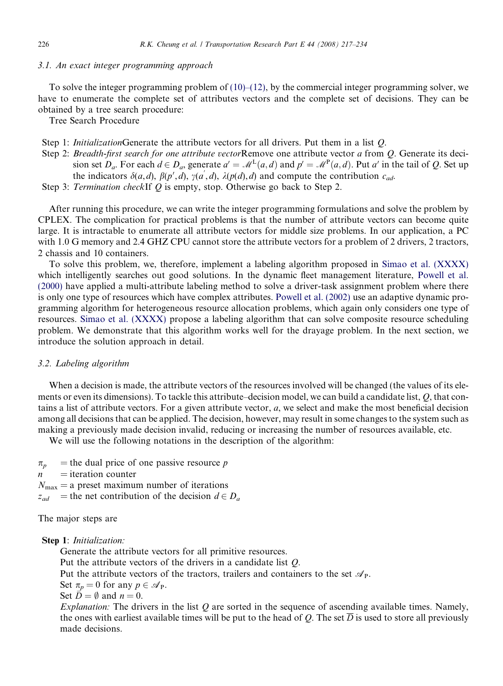#### 3.1. An exact integer programming approach

To solve the integer programming problem of  $(10)$ – $(12)$ , by the commercial integer programming solver, we have to enumerate the complete set of attributes vectors and the complete set of decisions. They can be obtained by a tree search procedure:

Tree Search Procedure

- Step 1: *InitializationGenerate the attribute vectors for all drivers*. Put them in a list *O*.
- Step 2: Breadth-first search for one attribute vectorRemove one attribute vector a from O. Generate its decision set  $D_a$ . For each  $d \in D_a$ , generate  $a' = M^L(a,d)$  and  $p' = M^P(a,d)$ . Put a' in the tail of Q. Set up the indicators  $\delta(a,d)$ ,  $\beta(p', d)$ ,  $\gamma(a', d)$ ,  $\lambda(p(d), d)$  and compute the contribution  $c_{ad}$ .

Step 3: Termination checkIf Q is empty, stop. Otherwise go back to Step 2.

After running this procedure, we can write the integer programming formulations and solve the problem by CPLEX. The complication for practical problems is that the number of attribute vectors can become quite large. It is intractable to enumerate all attribute vectors for middle size problems. In our application, a PC with 1.0 G memory and 2.4 GHZ CPU cannot store the attribute vectors for a problem of 2 drivers, 2 tractors, 2 chassis and 10 containers.

To solve this problem, we, therefore, implement a labeling algorithm proposed in [Simao et al. \(XXXX\)](#page-17-0) which intelligently searches out good solutions. In the dynamic fleet management literature, [Powell et al.](#page-17-0) [\(2000\)](#page-17-0) have applied a multi-attribute labeling method to solve a driver-task assignment problem where there is only one type of resources which have complex attributes. [Powell et al. \(2002\)](#page-17-0) use an adaptive dynamic programming algorithm for heterogeneous resource allocation problems, which again only considers one type of resources. [Simao et al. \(XXXX\)](#page-17-0) propose a labeling algorithm that can solve composite resource scheduling problem. We demonstrate that this algorithm works well for the drayage problem. In the next section, we introduce the solution approach in detail.

#### 3.2. Labeling algorithm

When a decision is made, the attribute vectors of the resources involved will be changed (the values of its elements or even its dimensions). To tackle this attribute–decision model, we can build a candidate list, Q, that contains a list of attribute vectors. For a given attribute vector, a, we select and make the most beneficial decision among all decisions that can be applied. The decision, however, may result in some changes to the system such as making a previously made decision invalid, reducing or increasing the number of resources available, etc.

We will use the following notations in the description of the algorithm:

- $\pi_p$  = the dual price of one passive resource p
- $n =$ iteration counter
- $N_{\text{max}} =$  a preset maximum number of iterations
- $z_{ad}$  = the net contribution of the decision  $d \in D_a$

The major steps are

Step 1: Initialization:

Generate the attribute vectors for all primitive resources.

Put the attribute vectors of the drivers in a candidate list Q.

Put the attribute vectors of the tractors, trailers and containers to the set  $\mathscr{A}_{P}$ .

Set  $\pi_p = 0$  for any  $p \in \mathcal{A}_P$ .

Set  $\vec{D} = \emptyset$  and  $n = 0$ .

Explanation: The drivers in the list  $Q$  are sorted in the sequence of ascending available times. Namely, the ones with earliest available times will be put to the head of Q. The set  $\overline{D}$  is used to store all previously made decisions.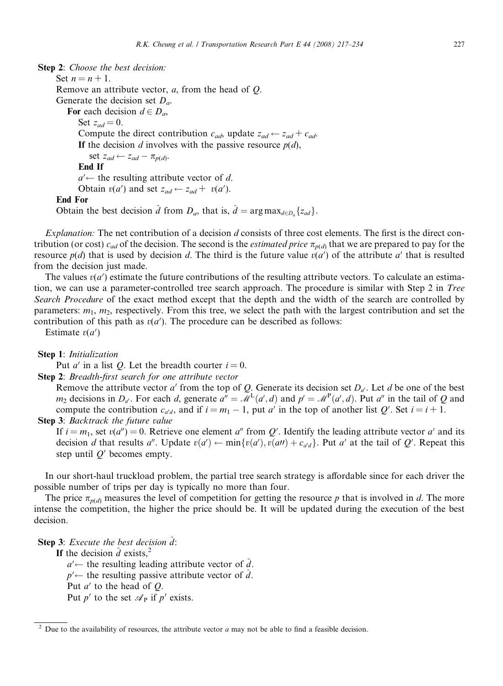Step 2: Choose the best decision: Set  $n = n + 1$ . Remove an attribute vector,  $a$ , from the head of  $Q$ . Generate the decision set  $D_a$ . For each decision  $d \in D_a$ , Set  $z_{ad} = 0$ . Compute the direct contribution  $c_{ad}$ , update  $z_{ad} \leftarrow z_{ad} + c_{ad}$ . If the decision d involves with the passive resource  $p(d)$ , set  $z_{ad} \leftarrow z_{ad} - \pi_{p(d)}$ . End If  $a'$  the resulting attribute vector of d. Obtain  $v(a')$  and set  $z_{ad} \leftarrow z_{ad} + v(a')$ . End For Obtain the best decision  $\hat{d}$  from  $D_a$ , that is,  $\hat{d} = \arg \max_{d \in D_a} \{z_{ad}\}.$ 

Explanation: The net contribution of a decision d consists of three cost elements. The first is the direct contribution (or cost)  $c_{ad}$  of the decision. The second is the *estimated price*  $\pi_{p(d)}$  that we are prepared to pay for the resource  $p(d)$  that is used by decision d. The third is the future value  $v(a')$  of the attribute a' that is resulted from the decision just made.

The values  $v(a')$  estimate the future contributions of the resulting attribute vectors. To calculate an estimation, we can use a parameter-controlled tree search approach. The procedure is similar with Step 2 in Tree Search Procedure of the exact method except that the depth and the width of the search are controlled by parameters:  $m_1$ ,  $m_2$ , respectively. From this tree, we select the path with the largest contribution and set the contribution of this path as  $v(a')$ . The procedure can be described as follows:

Estimate  $v(a')$ 

Step 1: Initialization

Put *a'* in a list *Q*. Let the breadth courter  $i = 0$ .

Step 2: Breadth-first search for one attribute vector

Remove the attribute vector a' from the top of Q. Generate its decision set  $D_{a'}$ . Let d be one of the best  $m_2$  decisions in  $D_{a'}$ . For each d, generate  $a'' = M^L(a', d)$  and  $p' = M^P(a', d)$ . Put  $a''$  in the tail of Q and compute the contribution  $c_{a'd}$ , and if  $i = m_1 - 1$ , put a' in the top of another list Q'. Set  $i = i + 1$ . Step 3: Backtrack the future value

If  $i = m_1$ , set  $v(a'') = 0$ . Retrieve one element a'' from Q'. Identify the leading attribute vector a' and its decision d that results a''. Update  $v(a') \leftarrow \min\{v(a'), v(at) + c_{a'd}\}\$ . Put a' at the tail of Q'. Repeat this step until  $Q'$  becomes empty.

In our short-haul truckload problem, the partial tree search strategy is affordable since for each driver the possible number of trips per day is typically no more than four.

The price  $\pi_{p(d)}$  measures the level of competition for getting the resource p that is involved in d. The more intense the competition, the higher the price should be. It will be updated during the execution of the best decision.

**Step 3:** Execute the best decision  $\hat{d}$ :

If the decision  $\hat{d}$  exists,<sup>2</sup>

 $a' \leftarrow$  the resulting leading attribute vector of  $\hat{a}$ .  $p'$  the resulting passive attribute vector of  $\hat{d}$ . Put  $a'$  to the head of  $Q$ . Put  $p'$  to the set  $\mathcal{A}_P$  if  $p'$  exists.

 $2$  Due to the availability of resources, the attribute vector  $a$  may not be able to find a feasible decision.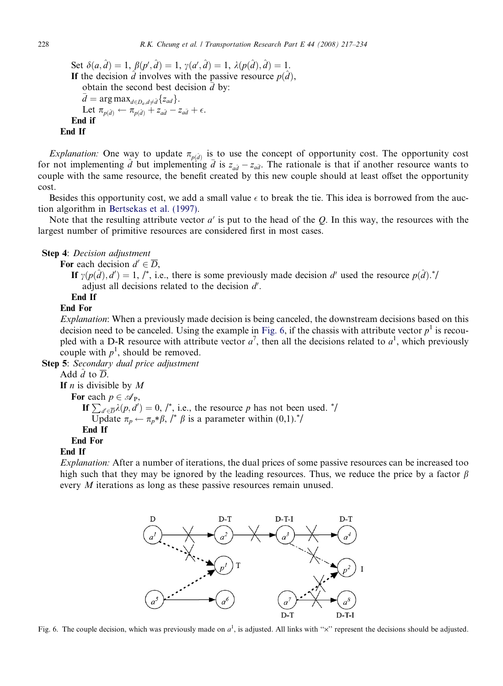Set  $\delta(a, \hat{d}) = 1$ ,  $\beta(p', \hat{d}) = 1$ ,  $\gamma(a', \hat{d}) = 1$ ,  $\lambda(p(\hat{d}), \hat{d}) = 1$ . If the decision  $\hat{d}$  involves with the passive resource  $p(\hat{d})$ , obtain the second best decision  $\bar{d}$  by:<br>  $\bar{d} = \arg \max_{d \in \mathcal{D}} \log \{z_{ad}\}.$  $\overline{d} = \arg \max_{d \in D_a, d \neq \hat{d}} \{z_{ad}\}.$ Let  $\pi_{p(\hat{d})} \leftarrow \pi_{p(\hat{d})} + z_{a\hat{d}} - z_{a\bar{d}} + \epsilon.$ End if End If

*Explanation:* One way to update  $\pi_{p(\hat{d})}$  is to use the concept of opportunity cost. The opportunity cost for not implementing  $\hat{d}$  but implementing  $\bar{d}$  is  $z_{a\hat{d}} - z_{a\bar{d}}$ . The rationale is that if another resource wants to couple with the same resource, the benefit created by this new couple should at least offset the opportunity cost.

Besides this opportunity cost, we add a small value  $\epsilon$  to break the tie. This idea is borrowed from the auction algorithm in [Bertsekas et al. \(1997\).](#page-16-0)

Note that the resulting attribute vector  $a'$  is put to the head of the Q. In this way, the resources with the largest number of primitive resources are considered first in most cases.

### Step 4: Decision adjustment

For each decision  $d' \in \overline{D}$ ,

If  $\gamma(p(\hat{d}), d') = 1, l^*$ , i.e., there is some previously made decision d' used the resource  $p(\hat{d})$ .<sup>\*</sup>/ adjust all decisions related to the decision  $d'$ .

End If

# End For

Explanation: When a previously made decision is being canceled, the downstream decisions based on this decision need to be canceled. Using the example in Fig. 6, if the chassis with attribute vector  $p<sup>1</sup>$  is recoupled with a D-R resource with attribute vector  $a^7$ , then all the decisions related to  $a^1$ , which previously couple with  $p^1$ , should be removed.

Step 5: Secondary dual price adjustment

Add  $\hat{d}$  to  $\overline{D}$ .

If *n* is divisible by  $M$ 

For each  $p \in \mathscr{A}_{P}$ ,

If  $\sum_{d' \in \overline{D}} \lambda(p, d') = 0$ , /\*, i.e., the resource p has not been used. \*/ Update  $\pi_p \leftarrow \pi_p * \beta$ , /\*  $\beta$  is a parameter within (0,1).\*/ End If

End For

# End If

Explanation: After a number of iterations, the dual prices of some passive resources can be increased too high such that they may be ignored by the leading resources. Thus, we reduce the price by a factor  $\beta$ every M iterations as long as these passive resources remain unused.



Fig. 6. The couple decision, which was previously made on  $a^1$ , is adjusted. All links with " $\times$ " represent the decisions should be adjusted.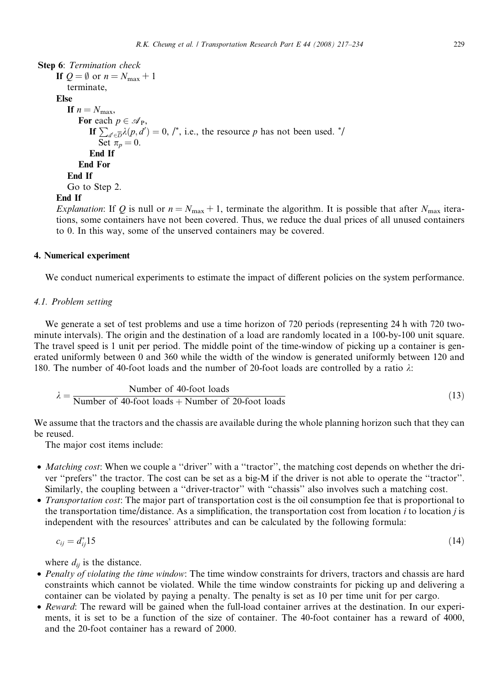```
Step 6: Termination check
If Q = \emptyset or n = N_{\text{max}} + 1terminate,
Else
    If n = N_{\text{max}},
       For each p \in \mathscr{A}_{P},
           If \sum_{d' \in \overline{D}} \lambda(p, d') = 0, /*, i.e., the resource p has not been used. */
              Set \pi_p = 0.
           End If
       End For
    End If
    Go to Step 2.
End If
```
Explanation: If Q is null or  $n = N_{\text{max}} + 1$ , terminate the algorithm. It is possible that after  $N_{\text{max}}$  iterations, some containers have not been covered. Thus, we reduce the dual prices of all unused containers to 0. In this way, some of the unserved containers may be covered.

### 4. Numerical experiment

We conduct numerical experiments to estimate the impact of different policies on the system performance.

### 4.1. Problem setting

We generate a set of test problems and use a time horizon of 720 periods (representing 24 h with 720 twominute intervals). The origin and the destination of a load are randomly located in a 100-by-100 unit square. The travel speed is 1 unit per period. The middle point of the time-window of picking up a container is generated uniformly between 0 and 360 while the width of the window is generated uniformly between 120 and 180. The number of 40-foot loads and the number of 20-foot loads are controlled by a ratio  $\lambda$ :

$$
\lambda = \frac{\text{Number of 40-foot loads}}{\text{Number of 40-foot loads} + \text{Number of 20-foot loads}} \tag{13}
$$

We assume that the tractors and the chassis are available during the whole planning horizon such that they can be reused.

The major cost items include:

- Matching cost: When we couple a "driver" with a "tractor", the matching cost depends on whether the driver ''prefers'' the tractor. The cost can be set as a big-M if the driver is not able to operate the ''tractor''. Similarly, the coupling between a ''driver-tractor'' with ''chassis'' also involves such a matching cost.
- *Transportation cost*: The major part of transportation cost is the oil consumption fee that is proportional to the transportation time/distance. As a simplification, the transportation cost from location i to location i is independent with the resources' attributes and can be calculated by the following formula:

$$
c_{ij} = d_{ij}^* 15 \tag{14}
$$

where  $d_{ii}$  is the distance.

- Penalty of violating the time window: The time window constraints for drivers, tractors and chassis are hard constraints which cannot be violated. While the time window constraints for picking up and delivering a container can be violated by paying a penalty. The penalty is set as 10 per time unit for per cargo.
- Reward: The reward will be gained when the full-load container arrives at the destination. In our experiments, it is set to be a function of the size of container. The 40-foot container has a reward of 4000, and the 20-foot container has a reward of 2000.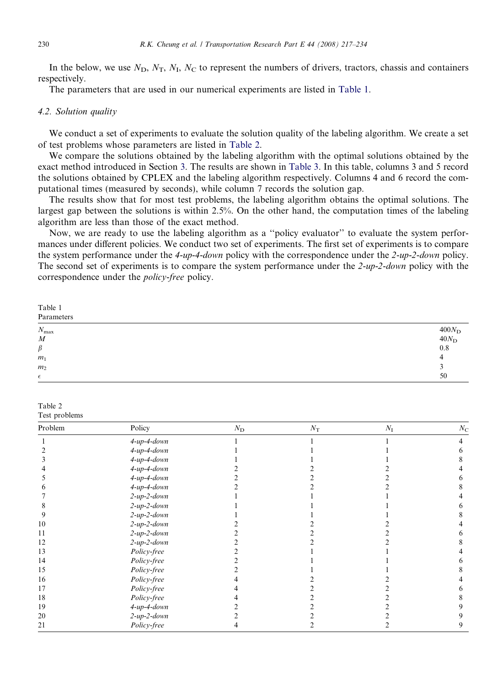In the below, we use  $N_D$ ,  $N_T$ ,  $N_I$ ,  $N_C$  to represent the numbers of drivers, tractors, chassis and containers respectively.

The parameters that are used in our numerical experiments are listed in Table 1.

#### 4.2. Solution quality

We conduct a set of experiments to evaluate the solution quality of the labeling algorithm. We create a set of test problems whose parameters are listed in Table 2.

We compare the solutions obtained by the labeling algorithm with the optimal solutions obtained by the exact method introduced in Section [3](#page-8-0). The results are shown in [Table 3.](#page-14-0) In this table, columns 3 and 5 record the solutions obtained by CPLEX and the labeling algorithm respectively. Columns 4 and 6 record the computational times (measured by seconds), while column 7 records the solution gap.

The results show that for most test problems, the labeling algorithm obtains the optimal solutions. The largest gap between the solutions is within 2.5%. On the other hand, the computation times of the labeling algorithm are less than those of the exact method.

Now, we are ready to use the labeling algorithm as a ''policy evaluator'' to evaluate the system performances under different policies. We conduct two set of experiments. The first set of experiments is to compare the system performance under the 4-up-4-down policy with the correspondence under the 2-up-2-down policy. The second set of experiments is to compare the system performance under the 2-up-2-down policy with the correspondence under the policy-free policy.

Table 1 Parameters  $N_{\text{max}}$  and  $400N_{\text{D}}$ 

| $ \cdot$ max<br>$\boldsymbol{M}$ | $\cdots$<br>$40 N_{\rm D} \over 0.8$ |
|----------------------------------|--------------------------------------|
| $\beta$                          |                                      |
| m <sub>1</sub>                   | $\epsilon$                           |
| m <sub>2</sub>                   |                                      |
| $\epsilon$                       | 50                                   |

| Table 2 |               |
|---------|---------------|
|         | Test problems |

| Problem | Policy             | $N_{\rm D}$ | $N_{\rm T}$ | $N_{\rm I}$ | $N_{\rm C}$ |
|---------|--------------------|-------------|-------------|-------------|-------------|
|         | $4-up-4-down$      |             |             |             |             |
|         | $4-up-4-down$      |             |             |             |             |
|         | $4-up-4-down$      |             |             |             |             |
|         | $4-up-4-down$      |             |             |             |             |
|         | $4-up-4-down$      |             |             |             |             |
|         | $4\n-up-4\ndown$   |             |             |             |             |
|         | $2$ -up- $2$ -down |             |             |             |             |
|         | $2$ -up- $2$ -down |             |             |             |             |
|         | $2$ -up- $2$ -down |             |             |             |             |
| 10      | $2$ -up- $2$ -down |             |             |             |             |
| 11      | $2$ -up- $2$ -down |             |             |             |             |
| 12      | $2$ -up- $2$ -down |             |             |             |             |
| 13      | Policy-free        |             |             |             |             |
| 14      | Policy-free        |             |             |             |             |
| 15      | Policy-free        |             |             |             |             |
| 16      | Policy-free        |             |             |             |             |
| 17      | Policy-free        |             |             |             |             |
| 18      | Policy-free        |             |             |             |             |
| 19      | $4\n-up-4\ndown$   |             |             |             |             |
| 20      | $2$ -up- $2$ -down |             |             |             |             |
| 21      | Policy-free        |             |             |             |             |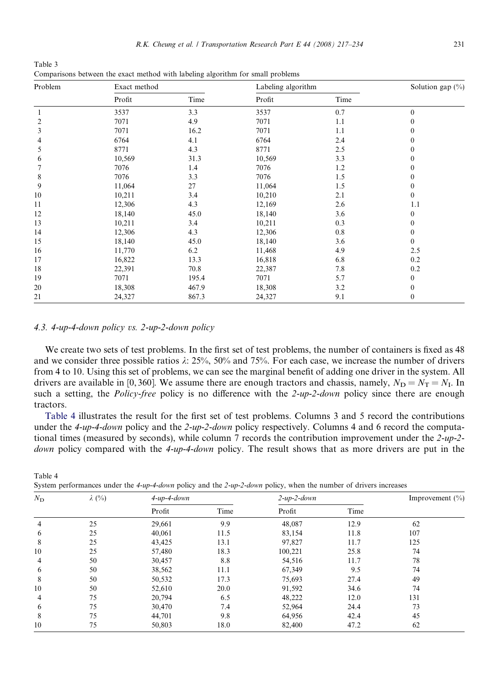| Problem | Exact method |       | Labeling algorithm |      | Solution gap (%) |
|---------|--------------|-------|--------------------|------|------------------|
|         | Profit       | Time  | Profit             | Time |                  |
|         | 3537         | 3.3   | 3537               | 0.7  | $\mathbf{0}$     |
| 2       | 7071         | 4.9   | 7071               | 1.1  | $\mathbf{0}$     |
| 3       | 7071         | 16.2  | 7071               | 1.1  | $\boldsymbol{0}$ |
| 4       | 6764         | 4.1   | 6764               | 2.4  | $\mathbf{0}$     |
| 5       | 8771         | 4.3   | 8771               | 2.5  | 0                |
| 6       | 10,569       | 31.3  | 10,569             | 3.3  | $\mathbf{0}$     |
|         | 7076         | 1.4   | 7076               | 1.2  | $\boldsymbol{0}$ |
| 8       | 7076         | 3.3   | 7076               | 1.5  | $\mathbf{0}$     |
| 9       | 11,064       | 27    | 11,064             | 1.5  | $\mathbf{0}$     |
| 10      | 10,211       | 3.4   | 10,210             | 2.1  | $\boldsymbol{0}$ |
| 11      | 12,306       | 4.3   | 12,169             | 2.6  | 1.1              |
| 12      | 18,140       | 45.0  | 18,140             | 3.6  | $\boldsymbol{0}$ |
| 13      | 10,211       | 3.4   | 10,211             | 0.3  | $\mathbf{0}$     |
| 14      | 12,306       | 4.3   | 12,306             | 0.8  | $\boldsymbol{0}$ |
| 15      | 18,140       | 45.0  | 18,140             | 3.6  | $\overline{0}$   |
| 16      | 11,770       | 6.2   | 11,468             | 4.9  | 2.5              |
| 17      | 16,822       | 13.3  | 16,818             | 6.8  | 0.2              |
| 18      | 22,391       | 70.8  | 22,387             | 7.8  | 0.2              |
| 19      | 7071         | 195.4 | 7071               | 5.7  | $\overline{0}$   |
| 20      | 18,308       | 467.9 | 18,308             | 3.2  | $\boldsymbol{0}$ |
| 21      | 24,327       | 867.3 | 24,327             | 9.1  | $\boldsymbol{0}$ |

Comparisons between the exact method with labeling algorithm for small problems

<span id="page-14-0"></span>Table 3

#### 4.3. 4-up-4-down policy vs. 2-up-2-down policy

We create two sets of test problems. In the first set of test problems, the number of containers is fixed as 48 and we consider three possible ratios  $\lambda$ : 25%, 50% and 75%. For each case, we increase the number of drivers from 4 to 10. Using this set of problems, we can see the marginal benefit of adding one driver in the system. All drivers are available in [0,360]. We assume there are enough tractors and chassis, namely,  $N_D = N_T = N_I$ . In such a setting, the *Policy-free* policy is no difference with the 2-up-2-down policy since there are enough tractors.

Table 4 illustrates the result for the first set of test problems. Columns 3 and 5 record the contributions under the 4-up-4-down policy and the 2-up-2-down policy respectively. Columns 4 and 6 record the computational times (measured by seconds), while column 7 records the contribution improvement under the 2-up-2 down policy compared with the 4-up-4-down policy. The result shows that as more drivers are put in the

| Table 4                                                                                                           |  |  |
|-------------------------------------------------------------------------------------------------------------------|--|--|
| System performances under the 4-up-4-down policy and the 2-up-2-down policy, when the number of drivers increases |  |  |

| $N_{\rm D}$ | $\lambda$ (%) | $4$ -up- $4$ -down |      | $2$ -up- $2$ -down |      | Improvement $(\% )$ |
|-------------|---------------|--------------------|------|--------------------|------|---------------------|
|             |               | Profit             | Time | Profit             | Time |                     |
| 4           | 25            | 29,661             | 9.9  | 48,087             | 12.9 | 62                  |
| 6           | 25            | 40,061             | 11.5 | 83,154             | 11.8 | 107                 |
| 8           | 25            | 43,425             | 13.1 | 97,827             | 11.7 | 125                 |
| 10          | 25            | 57,480             | 18.3 | 100,221            | 25.8 | 74                  |
| 4           | 50            | 30,457             | 8.8  | 54,516             | 11.7 | 78                  |
| 6           | 50            | 38,562             | 11.1 | 67,349             | 9.5  | 74                  |
| 8           | 50            | 50,532             | 17.3 | 75,693             | 27.4 | 49                  |
| 10          | 50            | 52,610             | 20.0 | 91,592             | 34.6 | 74                  |
| 4           | 75            | 20,794             | 6.5  | 48,222             | 12.0 | 131                 |
| 6           | 75            | 30,470             | 7.4  | 52,964             | 24.4 | 73                  |
| 8           | 75            | 44,701             | 9.8  | 64,956             | 42.4 | 45                  |
| 10          | 75            | 50,803             | 18.0 | 82,400             | 47.2 | 62                  |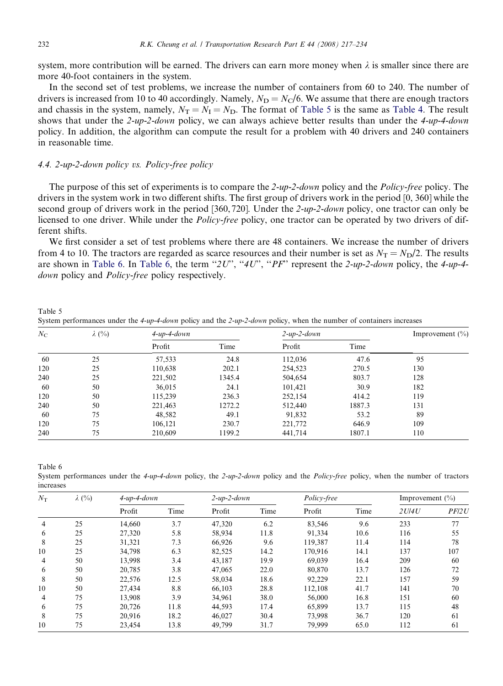system, more contribution will be earned. The drivers can earn more money when  $\lambda$  is smaller since there are more 40-foot containers in the system.

In the second set of test problems, we increase the number of containers from 60 to 240. The number of drivers is increased from 10 to 40 accordingly. Namely,  $N_D = N_C/6$ . We assume that there are enough tractors and chassis in the system, namely,  $N_T = N_I = N_D$ . The format of Table 5 is the same as [Table 4.](#page-14-0) The result shows that under the 2-up-2-down policy, we can always achieve better results than under the 4-up-4-down policy. In addition, the algorithm can compute the result for a problem with 40 drivers and 240 containers in reasonable time.

# 4.4. 2-up-2-down policy vs. Policy-free policy

The purpose of this set of experiments is to compare the 2-up-2-down policy and the *Policy-free* policy. The drivers in the system work in two different shifts. The first group of drivers work in the period [0, 360] while the second group of drivers work in the period [360, 720]. Under the 2-up-2-down policy, one tractor can only be licensed to one driver. While under the Policy-free policy, one tractor can be operated by two drivers of different shifts.

We first consider a set of test problems where there are 48 containers. We increase the number of drivers from 4 to 10. The tractors are regarded as scarce resources and their number is set as  $N_T = N_D/2$ . The results are shown in Table 6. In Table 6, the term " $2U$ ", " $4U$ ", " $PF$ " represent the 2-up-2-down policy, the 4-up-4down policy and *Policy-free* policy respectively.

Table 5

System performances under the 4-up-4-down policy and the 2-up-2-down policy, when the number of containers increases

| $N_{\rm C}$ | $\lambda$ (%) | $4$ -up- $4$ -down |        | $2$ -up- $2$ -down |        | Improvement $(\% )$ |
|-------------|---------------|--------------------|--------|--------------------|--------|---------------------|
|             |               | Profit             | Time   | Profit             | Time   |                     |
| 60          | 25            | 57,533             | 24.8   | 112,036            | 47.6   | 95                  |
| 120         | 25            | 110,638            | 202.1  | 254,523            | 270.5  | 130                 |
| 240         | 25            | 221,502            | 1345.4 | 504,654            | 803.7  | 128                 |
| 60          | 50            | 36,015             | 24.1   | 101,421            | 30.9   | 182                 |
| 120         | 50            | 115,239            | 236.3  | 252,154            | 414.2  | 119                 |
| 240         | 50            | 221,463            | 1272.2 | 512,440            | 1887.3 | 131                 |
| 60          | 75            | 48,582             | 49.1   | 91,832             | 53.2   | 89                  |
| 120         | 75            | 106,121            | 230.7  | 221,772            | 646.9  | 109                 |
| 240         | 75            | 210,609            | 1199.2 | 441,714            | 1807.1 | 110                 |

Table 6

System performances under the 4-up-4-down policy, the 2-up-2-down policy and the Policy-free policy, when the number of tractors increases

| $N_{\rm T}$    | $\lambda$ (%) | $4-up-4-down$ |      |        | Policy-free<br>$2$ -up- $2$ -down |         |      | Improvement $(\% )$ |       |
|----------------|---------------|---------------|------|--------|-----------------------------------|---------|------|---------------------|-------|
|                |               | Profit        | Time | Profit | Time                              | Profit  | Time | 2 U/4 U             | PFI2U |
| 4              | 25            | 14.660        | 3.7  | 47,320 | 6.2                               | 83,546  | 9.6  | 233                 | 77    |
| 6              | 25            | 27,320        | 5.8  | 58,934 | 11.8                              | 91.334  | 10.6 | 116                 | 55    |
| 8              | 25            | 31,321        | 7.3  | 66.926 | 9.6                               | 119,387 | 11.4 | 114                 | 78    |
| 10             | 25            | 34,798        | 6.3  | 82,525 | 14.2                              | 170.916 | 14.1 | 137                 | 107   |
| $\overline{4}$ | 50            | 13.998        | 3.4  | 43.187 | 19.9                              | 69.039  | 16.4 | 209                 | 60    |
| 6              | 50            | 20.785        | 3.8  | 47.065 | 22.0                              | 80.870  | 13.7 | 126                 | 72    |
| 8              | 50            | 22.576        | 12.5 | 58.034 | 18.6                              | 92.229  | 22.1 | 157                 | 59    |
| 10             | 50            | 27,434        | 8.8  | 66,103 | 28.8                              | 112,108 | 41.7 | 141                 | 70    |
| 4              | 75            | 13,908        | 3.9  | 34,961 | 38.0                              | 56,000  | 16.8 | 151                 | 60    |
| 6              | 75            | 20,726        | 11.8 | 44,593 | 17.4                              | 65.899  | 13.7 | 115                 | 48    |
| 8              | 75            | 20,916        | 18.2 | 46,027 | 30.4                              | 73,998  | 36.7 | 120                 | 61    |
| 10             | 75            | 23.454        | 13.8 | 49.799 | 31.7                              | 79.999  | 65.0 | 112                 | 61    |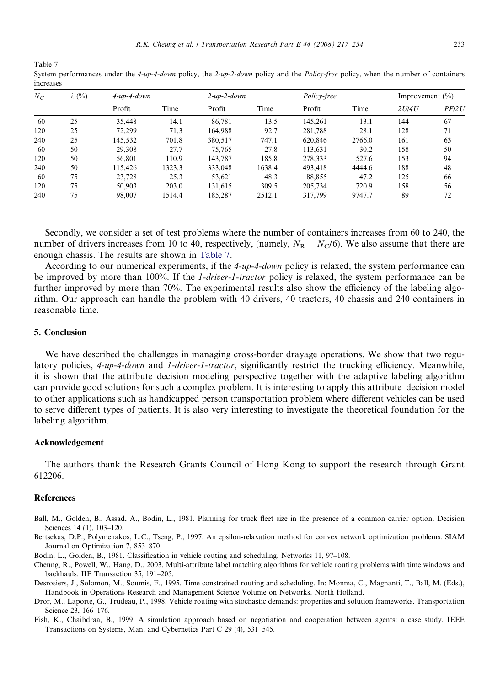<span id="page-16-0"></span>Table 7 System performances under the 4-up-4-down policy, the 2-up-2-down policy and the Policy-free policy, when the number of containers increases

| $N_C$ | $\lambda$ (%) | $4$ -up- $4$ -down |        | $2$ -up- $2$ -down |        | Policy-free |        | Improvement $(\% )$ |       |
|-------|---------------|--------------------|--------|--------------------|--------|-------------|--------|---------------------|-------|
|       |               | Profit             | Time   | Profit             | Time   | Profit      | Time   | 2U/4U               | PFI2U |
| 60    | 25            | 35.448             | 14.1   | 86.781             | 13.5   | 145,261     | 13.1   | 144                 | 67    |
| 120   | 25            | 72.299             | 71.3   | 164.988            | 92.7   | 281,788     | 28.1   | 128                 | 71    |
| 240   | 25            | 145,532            | 701.8  | 380,517            | 747.1  | 620,846     | 2766.0 | 161                 | 63    |
| -60   | 50            | 29.308             | 27.7   | 75.765             | 27.8   | 113,631     | 30.2   | 158                 | 50    |
| 120   | 50            | 56.801             | 110.9  | 143.787            | 185.8  | 278,333     | 527.6  | 153                 | 94    |
| 240   | 50            | 115.426            | 1323.3 | 333,048            | 1638.4 | 493,418     | 4444.6 | 188                 | 48    |
| -60   | 75            | 23.728             | 25.3   | 53,621             | 48.3   | 88,855      | 47.2   | 125                 | 66    |
| 120   | 75            | 50.903             | 203.0  | 131,615            | 309.5  | 205.734     | 720.9  | 158                 | 56    |
| 240   | 75            | 98,007             | 1514.4 | 185,287            | 2512.1 | 317.799     | 9747.7 | 89                  | 72    |

Secondly, we consider a set of test problems where the number of containers increases from 60 to 240, the number of drivers increases from 10 to 40, respectively, (namely,  $N_R = N_C/6$ ). We also assume that there are enough chassis. The results are shown in Table 7.

According to our numerical experiments, if the 4-up-4-down policy is relaxed, the system performance can be improved by more than 100%. If the *1-driver-1-tractor* policy is relaxed, the system performance can be further improved by more than 70%. The experimental results also show the efficiency of the labeling algorithm. Our approach can handle the problem with 40 drivers, 40 tractors, 40 chassis and 240 containers in reasonable time.

#### 5. Conclusion

We have described the challenges in managing cross-border drayage operations. We show that two regulatory policies, 4-up-4-down and 1-driver-1-tractor, significantly restrict the trucking efficiency. Meanwhile, it is shown that the attribute–decision modeling perspective together with the adaptive labeling algorithm can provide good solutions for such a complex problem. It is interesting to apply this attribute–decision model to other applications such as handicapped person transportation problem where different vehicles can be used to serve different types of patients. It is also very interesting to investigate the theoretical foundation for the labeling algorithm.

#### Acknowledgement

The authors thank the Research Grants Council of Hong Kong to support the research through Grant 612206.

#### References

- Ball, M., Golden, B., Assad, A., Bodin, L., 1981. Planning for truck fleet size in the presence of a common carrier option. Decision Sciences 14 (1), 103–120.
- Bertsekas, D.P., Polymenakos, L.C., Tseng, P., 1997. An epsilon-relaxation method for convex network optimization problems. SIAM Journal on Optimization 7, 853–870.
- Bodin, L., Golden, B., 1981. Classification in vehicle routing and scheduling. Networks 11, 97–108.
- Cheung, R., Powell, W., Hang, D., 2003. Multi-attribute label matching algorithms for vehicle routing problems with time windows and backhauls. IIE Transaction 35, 191–205.
- Desrosiers, J., Solomon, M., Soumis, F., 1995. Time constrained routing and scheduling. In: Monma, C., Magnanti, T., Ball, M. (Eds.), Handbook in Operations Research and Management Science Volume on Networks. North Holland.
- Dror, M., Laporte, G., Trudeau, P., 1998. Vehicle routing with stochastic demands: properties and solution frameworks. Transportation Science 23, 166–176.
- Fish, K., Chaibdraa, B., 1999. A simulation approach based on negotiation and cooperation between agents: a case study. IEEE Transactions on Systems, Man, and Cybernetics Part C 29 (4), 531–545.